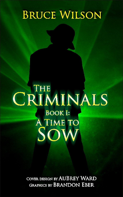# **BRUCE WILSON**

# CRIMINALS **BOOK I: A TIME TO** SOW

COVER DESIGN BY AUBREY WARD **GRAPHICS BY BRANDON EBER**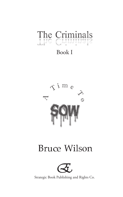

## Book I



## **Bruce Wilson**



Strategic Book Publishing and Rights Co. Publishing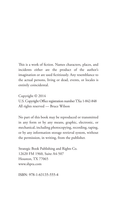This is a work of fiction. Names characters, places, and incidents either are the product of the author's imagination or are used fictitiously. Any resemblance to the actual persons, living or dead, events, or locales is entirely coincidental.

Copyright © 2014 U.S. Copyright Office registration number TXu 1-842-848 All rights reserved — Bruce Wilson

No part of this book may be reproduced or transmitted in any form or by any means, graphic, electronic, or mechanical, including photocopying, recording, taping, or by any information storage retrieval system, without the permission, in writing, from the publisher.

Strategic Book Publishing and Rights Co. 12620 FM 1960, Suite A4-507 Houston, TX 77065 www.sbpra.com

ISBN: 978-1-63135-555-4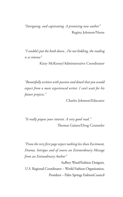*"Intriguing, and captivating. A promising new author"* Regina Johnson/Nurse

*"I couldn't put the book down...I'm not kidding, the reading is so intense"*

Kizzy McKenny/Administrative Coordinator

*"Beautifully written with passion and detail that you would expect from a more experienced writer. I can't wait for his future projects."*

Charles Johnson/Educator

*"It really piques your interest. A very good read."* Thomas Gaines/Drug Counseler

*"From the very first page expect nothing less than Excitment, Drama, Intrigue and of course an Extraordinary Message from an Extraodinary Author"*

AuBrey Ward/Fashion Designer, U.S. Regional Coordinator – World Fashion Organization, President – Palm Springs FashionCouncil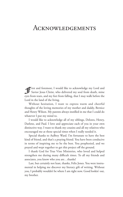### Acknowledgements

First and foremost, I would like to acknowledge my Lord and Savior Jesus Christ, who delivered my soul from death, mine eyes from tears, and my feet from falling, that I may walk before the Lord in the land of the living.

Without hesitation, I want to express warm and cheerful thoughts of the loving memories of my mother and daddy, Bernice and Henry Wilson. My parents always instilled in me that I could do whatever I put my mind to.

I would like to acknowledge all of my siblings, Delores, Henry, Darlene, and Paul. I love and appreciate each of you in your own distinctive way. I want to thank my cousins and all my relatives who encouraged me at those special times when I really needed it.

Special thanks to AuBrey Ward. I'm fortunate to have the best kind of friend, and that's a praying friend. You have been conducive in terms of inspiring me to be the best. You prophesied, and we prayed and wept together to get this project off the ground.

I thank God for True Vine Ministries, who loved and helped strengthen me during many difficult times. To all my friends and associates, you know who you are…thanks!

Last, but certainly not least, thanks, Felix Jones. You were instrumental in helping me discover my literary gift of writing. Without you, I probably wouldn't be where I am right now. Good lookin' out, my brother.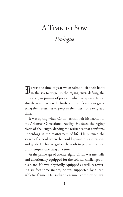## A TIME TO SOW

## *Prologue*

 $\mathbf{\mathcal{J}}$ t was the time of year when salmon left their habit in the sea to surge up the raging river, defying the resistance, in pursuit of pools in which to spawn. It was also the season when the birds of the air flew about gathering the necessities to prepare their nests one twig at a time.

It was spring when Orion Jackson left his habitat of the Arkansas Correctional Facility. He faced the raging rivers of challenges, defying the resistance that confronts underdogs in the mainstream of life. He pursued the solace of a pool where he could spawn his aspirations and goals. He had to gather the tools to prepare the nest of his empire one twig at a time.

At the prime age of twenty-eight, Orion was mentally and emotionally equipped for the colossal challenges on his plate. He was physically equipped as well. A towering six feet three inches, he was supported by a lean, athletic frame. His radiant caramel complexion was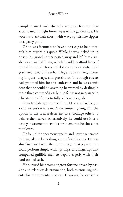complemented with divinely sculpted features that accentuated his light brown eyes with a golden hue. He wore his black hair short, with wavy spirals like ripples on a glassy pond.

Orion was fortunate to have a nest egg to help catapult him toward his quest. While he was locked up in prison, his grandmother passed away and left him a sizable estate in California, which he sold to afford himself several hundred thousand dollars to play with. He'd gravitated toward the urban illegal trade market, investing in guns, drugs, and prostitutes. The rough streets had groomed him for this endeavor, and he was confident that he could do anything he wanted by dealing in those three commodities, but he felt it was necessary to relocate to California to fully achieve his goals.

Guns had always intrigued him. He considered a gun a vital extension to a man's extremities, giving him the option to use it as a deterrent to encourage others to behave themselves. Alternatively, he could use it as a deadly instrument to avoid a problem that he chose not to tolerate.

He found the enormous wealth and power generated by drug sales to be nothing short of exhilarating. He was also fascinated with the erotic magic that a prostitute could perform simply with lips, hips, and fingertips that compelled gullible men to depart eagerly with their hard-earned cash.

He pursued his dreams of great fortune driven by passion and relentless determination, both essential ingredients for monumental success. However, he carried a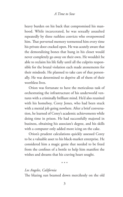heavy burden on his back that compromised his manhood. While incarcerated, he was sexually assaulted repeatedly by three ruthless convicts who overpowered him. That perverted memory tormented him every time his private door cracked open. He was acutely aware that the demoralizing bones that hung in his closet would never completely go away on their own. He wouldn't be able to reclaim his life fully until all the culprits responsible for the brutal violation each made atonements for their misdeeds. He planned to take care of that personally. He was determined to deprive all of them of their worthless lives.

Orion was fortunate to have the meticulous task of orchestrating the infrastructure of his underworld ventures with a criminally brilliant mind. He'd also reunited with his homeboy, Corey Jones, who had been stuck with a menial job going nowhere. After a brief conversation, he learned of Corey's academic achievements while doing time in prison. He had successfully majored in business, obtaining his associate's degree, and his skills with a computer only added more icing on the cake.

Orion's prudent calculations quickly assessed Corey to be a valuable asset to his black-market enterprise. He considered him a magic genie that needed to be freed from the confines of a bottle to help him manifest the wishes and dreams that his craving heart sought.

#### \* \* \*

#### *Los Angeles, California*

The blazing sun beamed down mercilessly on the old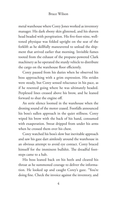metal warehouse where Corey Jones worked as inventory manager. His dark ebony skin glistened, and his shaven head beaded with perspiration. His five-foot-nine, welltoned physique was folded upright on the seat of the forklift as he skillfully maneuvered to unload the shipment that arrived earlier that morning. Invisible fumes tooted from the exhaust of the propane-powered Clark machinery as he operated the sturdy vehicle to distribute the cargo on the warehouse floor efficiently.

Corey paused from his duties when he observed his boss approaching with a grim expression. His strides were steady, but Corey sensed reluctance in his pace, as if he resented going where he was ultimately headed. Perplexed lines creased above his brow, and he leaned forward to shut the engine off.

An eerie silence loomed in the warehouse when the droning sound of the motor ceased. Footfalls announced his boss's sullen approach in the quiet stillness. Corey wiped his brow with the back of his hand, consumed with exasperation. Sweat dripped from under his arms when he crossed them over his chest.

Corey watched his boss's slow but inevitable approach and saw his gaze dart aimlessly around the warehouse in an obvious attempt to avoid eye contact. Corey braced himself for the imminent bullshit. The dreadful footsteps came to a halt.

His boss leaned back on his heels and cleared his throat as he summoned courage to deliver the information. He looked up and caught Corey's gaze. "You're doing fine. Check the invoice against the inventory, and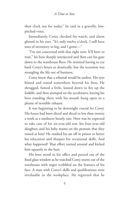then clock out for today," he said in a gravelly, lowpitched voice.

Immediately, Corey checked his watch, and alarm glinted in his eyes. "It's only twelve o'clock. I still have tons of inventory to log, and I gotta—"

"I'm not concerned with that right now. It'll have to wait," his boss sharply interjected and then cast his gaze down to the warehouse floor. He resented having to cut back Corey's hours so drastically, but the recession was strangling the life out of business.

Corey knew that a rebuttal would be useless. His eyes blazed and stared somewhere beyond his boss. He shrugged, fumed a little, leaned down to fire up the forklift, and then stomped on the accelerator, leaving his boss standing there with his mouth hung open in a plume of invisible exhaust.

It was beginning to be downright crucial for Corey. His hours had been sliced and diced to less than twenty a week at a mediocre hourly rate. How was he expected to take care of his six-year-old son, his four-year-old daughter, and his baby mama on the peanuts that they tossed at him? He studied his ass off in prison to better his education and sharpen his vocational skills. And what happened? That effort turned around and kicked him squarely in the butt.

His boss stood in his office and peered out of the fixed glass window as he watched Corey storm out of the warehouse with anger scribbled on the features of his face. A man with Corey's skills and qualifications were invaluable in the workplace. He regretted that he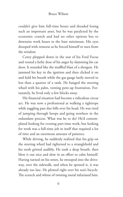couldn't give him full-time hours and dreaded losing such an important asset, but he was paralyzed by the economic crunch and had no other options but to downsize work hours to the bare minimum. His eyes drooped with remorse as he forced himself to turn from the window.

Corey plopped down in the seat of his Ford Focus and vented a hefty dose of his anger by slamming his car door. It sounded like the muffled blast of a shotgun. He jammed his key in the ignition and then clicked it on and held his breath while the gas gauge lazily moved to less than a quarter of a tank. He banged the steering wheel with his palm, venting pent-up frustration. Fortunately, he lived only a few blocks away.

His financial situation had become a ridiculous circus act. He was now a professional at walking a tightrope while juggling past due bills over his head. He was tired of jumping through hoops and going nowhere in the redundant process. What was he to do? He'd contemplated looking for evening part-time work, but looking for work was a full-time job in itself that required a lot of time and an enormous amount of patience.

While driving, he suddenly realized that his grip on the steering wheel had tightened to a stranglehold and his teeth gritted audibly. He took a deep breath, then blew it out nice and slow in an effort to calm himself. Having turned on his street, he swooped into the driveway, over the sidewalk, and when he spotted it, it was already too late. He plowed right over his son's bicycle. The screech and whine of twisting metal infuriated him.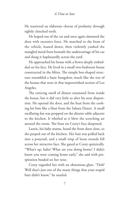He muttered an elaborate chorus of profanity through tightly clenched teeth.

He leaped out of the car and once again slammed the door with excessive force. He marched to the front of the vehicle, leaned down, then violently yanked the mangled metal from beneath the undercarriage of his car and slung it haphazardly across the yard.

He approached his house with a frown deeply embedded on his face. He lived in a small two-bedroom house constructed in the fifties. The simple box-shaped structure resembled a basic bungalow, much like the rest of the houses that were in that impoverished section of Los Angeles.

The enticing smell of dinner emanated from inside the house, but it did very little to alter his sour disposition. He opened the door, and the heat from the cooking hit him like a blast from the Sahara Desert. A small oscillating fan was propped on the dinette table adjacent to the kitchen. It whirled as it blew the scorching air around the room. The lines on Corey's face deepened.

Laurie, his baby mama, heard the front door close, so she peeped out of the kitchen. Her hair was pulled back into a ponytail, and a small wisp of loose strands fell across her attractive face. She gazed at Corey quizzically. "What's up, babe? What are you doing home? I didn't know you were coming home early," she said with perspiration beaded on her nose.

Corey regarded her with an obnoxious glare. "Duh! Well that's just one of the many things that your stupid butt didn't know," he snarled.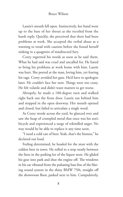Laurie's mouth fell open. Instinctively, her hand went up to the base of her throat as she recoiled from the harsh reply. Quickly, she perceived that there had been problems at work. She accepted the verbal abuse as a warning to tread with caution before she found herself sinking in a quagmire of misdirected fury.

Corey regretted his words as soon as he said them. What he had said was cruel and uncalled for. He hated to bring his problems at work home with him. Laurie was hurt. She peered at the man, loving him, yet fearing his rage. Corey avoided her gaze. He'd have to apologize later. He couldn't face her now. Things were too crazy. He felt volatile and didn't want matters to get worse.

Abruptly, he made a 180-degree turn and walked right back out the front door. Laurie ran behind him and stopped in the open doorway. Her mouth opened and closed, but failed to articulate a single word.

As Corey strode across the yard, he glanced over and saw the heap of crumpled metal that once was his son's bicycle and experienced a surge of rekindled anger. No way would he be able to replace it any time soon.

"I need a cold can of beer. Yeah, that's the bizness," he declared out loud.

Feeling determined, he headed for the store with the coldest beer in town. He rolled to a stop neatly between the lines in the parking lot of the liquor store. He glided his gear into park and shut the engine off. The windows in his car vibrated from the pulsating bass line of the blaring sound system in the shiny BMW 750i, straight off the showroom floor, parked next to him. Compulsively,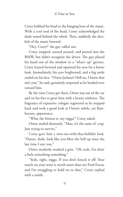Corey bobbed his head to the banging beat of the music. With a cool nod of the head, Corey acknowledged the dude seated behind the wheel. Then, suddenly the decibels of the music lowered.

"Hey, Corey!" the guy called out.

Corey stopped, turned around, and peered into the BMW, but didn't recognize the driver. The guy placed his hand out of the window in a "what's up" gesture. Corey leaned forward and squinted his eyes for a better look. Immediately, his eyes brightened, and a big smile curled on his face. "Orion Jackson? Hell no, I know that ain't you," he said, genuinely surprised as he headed over toward him.

By the time Corey got there, Orion was out of the car and on his feet to greet him with a hearty embrace. The fragrance of expensive cologne registered as he stepped back and took a good look at Orion's subtle, yet flamboyant, appearance.

"What the bizness is, my nigga?" Corey asked.

Orion smiled demurely. "Man, it's the same ol' crap. Just trying to survive."

Corey gave him a miss-me-with-that-bullshit look. "Damn, dude, look like you blew the hell up since the last time I saw you."

Orion modestly masked a grin. "Oh yeah, I'm doin' a little something something."

"Yeah, right, nigga. If you don't knock it off. Your watch on your wrist is worth more than my Ford Focus, and I'm struggling to hold on to that," Corey replied with a smirk.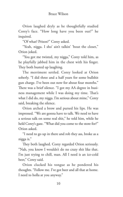Orion laughed dryly as he thoughtfully studied Corey's face. "How long have you been out?" he inquired.

"Of what? Prison?" Corey asked.

"Yeah, nigga. I sho' ain't talkin' 'bout the closet," Orion joked.

"You got me twisted, my nigga," Corey told him, as he playfully jabbed him in the chest with his finger. They both busted up laughing.

The merriment settled. Corey looked at Orion soberly. "I did three and a half years for some bullshit gun charge. I've been out now for about four months." There was a brief silence. "I got my AA degree in business management while I was doing my time. That's what I did do, my nigga. I'm serious about mine," Corey said, breaking the silence.

Orion arched a brow and pursed his lips. He was impressed. "We are gonna have to talk. We need to have a serious talk on some real shit," he told him, while he held Corey's gaze. "What did you come to the store for?" Orion asked.

"I need to go up in there and rob they ass, broke as a nigga is."

They both laughed. Corey regarded Orion seriously. "Nah, you know I wouldn't do no crazy shit like that. I'm just trying to chill, man. All I need is an ice-cold beer," Corey said.

Orion clucked his tongue as he pondered his thoughts. "Follow me. I've got beer and all that at home. I need to holla at you anyway."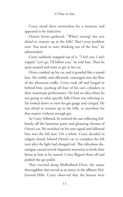Corey stood there motionless for a moment and appeared to be indecisive.

Orion's brows gathered. "What's wrong? Are you afraid to venture up in the hills? That's your problem now. You need to start thinking out of the box," he admonished.

Corey suddenly snapped out of it. "I feel you. I ain't trippin'. Let's go. I'll follow you," he told him. Then he spun around and went to get in his car.

Orion cranked up his car, and it growled like a tamed lion. He swiftly and efficiently converged into the flow of the afternoon traffic. Corey took off and lunged in behind him, pushing all four of his car's cylinders to their maximum performance. He had no idea where he was going or what specific hills Orion was referring to. He looked down to view his gas gauge and cringed. He was afraid to venture up in the hills, or anywhere for that matter, without enough gas.

As Corey followed, he noticed the sun reflecting brilliantly off the luxurious paint and gleaming chrome of Orion's car. He switched on his turn signal and followed him into the left lane. On a whim, Corey decided to tailgate closely behind Orion's car to complete the left turn after the light had changed red. This ridiculous shenanigan caused several impatient motorists to honk their horns at him as he turned. Corey flipped them off and pushed the gas pedal.

They traveled along Mulholland Drive, the major thoroughfare that served as an artery to the affluent Hollywood Hills. Corey observed that the houses were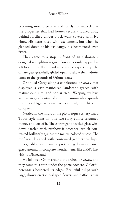becoming more expansive and stately. He marveled at the properties that had homes securely tucked away behind fortified cinder block walls covered with ivy vines. His heart raced with excitement, but when he glanced down at his gas gauge, his heart raced even faster.

They came to a stop in front of an elaborately designed wrought-iron gate. Corey anxiously tapped his left foot on the floorboard as he waited expectantly. The ornate gate gracefully glided open to allow their admittance to the grounds of Orion's estate.

Orion led Corey along a cobblestone driveway that displayed a vast manicured landscape graced with mature oak, elm, and poplar trees. Weeping willows were strategically situated amid the immaculate sprawling emerald-green lawn like beautiful, breathtaking canopies.

Nestled in the midst of the picturesque scenery was a Tudor-style mansion. The two-story edifice screamed money and lots of it. The extravagant beveled-glass windows dazzled with rainbow iridescence, which contrasted brilliantly against the mauve-colored stucco. The roof was designed with contoured geometrical hips, ridges, gables, and dramatic protruding dormers. Corey gazed around in complete wonderment, like a kid's first visit to Disneyland.

He followed Orion around the arched driveway, and they came to a stop under the porte-cochère. Colorful perennials bordered its edges. Beautiful tulips with large, showy, erect cup-shaped flowers and daffodils that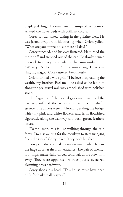displayed huge blooms with trumpet-like centers arrayed the flowerbeds with brilliant colors.

Corey sat transfixed, taking in the pristine view. He was jarred away from his musing when Orion yelled, "What are you gonna do, sit there all day?"

Corey flinched, and his eyes fluttered. He turned the motor off and stepped out of the car. He slowly craned his neck to survey the opulence that surrounded him. "Wow, you've been doin' the damn thang. I like this shit, my nigga," Corey uttered breathlessly.

Orion formed a wide grin. "I believe in spreading the wealth, my brother. Feel me?" he asked as he led him along the pea gravel walkway embellished with polished stones.

The fragrance of the potted gardenias that lined the pathway infused the atmosphere with a delightful essence. The azaleas were in bloom, speckling the hedges with tiny pink and white flowers, and ferns flourished vigorously along the walkway with lush, green, feathery leaves.

"Damn, man, this is like walking through the rain forest. I'm just waiting for the monkeys to start swinging from the trees," Corey joked. They both laughed.

Corey couldn't conceal his astonishment when he saw the huge doors at the front entrance. The pair of twentyfoot-high, masterfully carved solid oak doors blew him away. They were appointed with exquisite oversized gleaming brass hardware.

Corey shook his head. "This house must have been built for basketball players."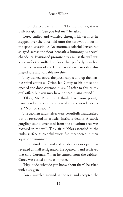#### Bruce Wilson

Orion glanced over at him. "No, my brother, it was built for giants. Can you feel me?" he asked.

Corey smiled and whistled through his teeth as he stepped over the threshold onto the hardwood floor in the spacious vestibule. An enormous colorful Persian rug splayed across the floor beneath a humongous crystal chandelier. Positioned prominently against the wall was a seven-foot grandfather clock that perfectly matched the wood grains of the fancy carved credenza that displayed rare and valuable novelties.

They walked across the plush carpet and up the marble spiral staircase. Orion led Corey to his office and opened the door ceremoniously. "I refer to this as my oval office, but you may have noticed it ain't round."

"Okay, Mr. President, I think I get your point," Corey said as he ran his fingers along the wood cabinetry. "Not too shabby."

The cabinets and shelves were beautifully handcrafted out of rosewood in artistic, intricate details. A subtle gurgling sound emanated from the aquarium that was recessed in the wall. Tiny air bubbles ascended to the tank's surface as colorful exotic fish meandered in their aquatic environment.

Orion strode over and slid a cabinet door open that revealed a small refrigerator. He opened it and retrieved two cold Coronas. When he turned from the cabinet, Corey was seated at the computer.

"Hey, dude, what do you know about that?" he asked with a sly grin.

Corey swiveled around in the seat and accepted the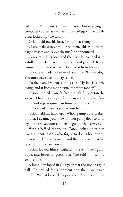cold beer. "Computers are my life now. I took a gang of computer courses as electives in my college studies while I was locked up," he said.

Orion held out his beer. "Hold that thought a minute. Let's make a toast to our reunion. This is to champagne wishes and caviar dreams," he announced.

Corey raised his beer, and their bottles collided with a dull clink. He turned up his beer and guzzled. It was damn near finished when he lowered it from his mouth.

Orion eyes widened in mock surprise. "Damn, dog. You must have been thirsty as hell."

"Yeah, man, I've got some issues. My job is slowly dying, and it keeps me thirstin' for more money."

Orion studied Corey's face thoughtfully before he spoke. "I have a spot open for a man with your qualifications, and it pays quite handsomely, I must say."

"I'll take it!" Corey said without hesitation.

Orion held his hand up. "Whoa, pump your brakes, brother. I assume you know I'm not going door to door trying to sell vacuum cleaners to gullible housewives."

With a baffled expression, Corey looked up at him like a student in class who forgot to do his homework. He was stuck for a moment, and then he asked, "What type of business are you in?"

Orion looked him straight in his eyes. "I sell guns, dope, and beautiful prostitutes," he told him with a smug smile.

A lump developed in Corey's throat the size of a golf ball. He paused for a moment and then swallowed deeply. "Well, it looks like it pays the bills and leaves you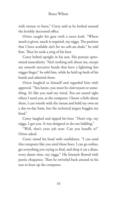with money to burn," Corey said as he looked around the lavishly decorated office.

Orion caught his gaze with a stern look. "Where much is given, much is required, my nigga. The position that I have available ain't for no soft-ass dude," he told him. Then he took a swig of his beer.

Corey bolted upright in his seat. His posture epitomized masculinity. "Ain't nothing soft about me, except my smooth executive hands that have a lightning fast trigger finger," he told him, while he held up both of his hands and admired them.

Orion laughed to himself and regarded him with approval. "You know, you must be clairvoyant or something. It's like you read my mind. You are seated right where I need you, at the computer. I know a little about them. I can wrestle with the mouse and hold my own on a day-to-day basis, but the technical jargon boggles my head."

Corey laughed and sipped his beer. "Don't trip, my nigga. I got you. It was designed to do our bidding."

"Well, that's your job now. Can you handle it?" Orion asked.

Corey raised his head with confidence. "I can send this computer like you send those hoes. I can go online, get everything you trying to find, and drop it on a dime, every damn time, my nigga." His freestyle flowed with poetic eloquence. Then he swiveled back around in his seat to boot up the computer.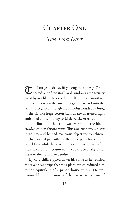## CHAPTER ONE

## *Two Years Later*

The Lear jet taxied swiftly along the runway. Orion peered out of the small oval window as the scenery raced by in a blur. He settled himself into the Corinthian leather seats when the aircraft began to ascend into the sky. The jet glided through the cumulus clouds that hung in the air like huge cotton balls as the chartered fight embarked on its journey to Little Rock, Arkansas.

The climate in the cabin was warm, but the blood crawled cold in Orion's veins. This excursion was sinister in nature, and he had malicious objectives to achieve. He had waited patiently for the three perpetrators who raped him while he was incarcerated to surface after their release from prison so he could personally usher them to their ultimate demise.

Icy-cold chills rippled down his spine as he recalled the savage gang rape that took place, which reduced him to the equivalent of a prison house whore. He was haunted by the memory of the excruciating pain of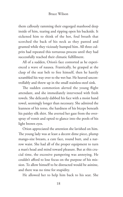#### Bruce Wilson

them callously ramming their engorged manhood deep inside of him, tearing and ripping open his backside. It sickened him to think of the hot, foul breath that scorched the back of his neck as they panted and grunted while they viciously humped him. All three culprits had repeated this torturous process until they had successfully reached their climatic fulfillment.

All of a sudden, Orion's face contorted as he experienced a wave of nausea. Frantically, he grasped at the clasp of the seat belt to free himself, then he hastily scrambled his way over to the wet bar. He heaved uncontrollably and threw up in the small stainless-steel sink.

The sudden commotion alerted the young flight attendant, and she immediately intervened with fresh towels. She delicately dabbed his face with a moist hand towel, seemingly longer than necessary. She admired the leanness of his torso, the hardness of his biceps beneath his paisley silk shirt. She averted her gaze from the overspray of vomit and opted to glance into the pools of his light brown eyes.

Orion appreciated the attention she lavished on him. The young lady was at least a decent dime piece, plump mango-size breasts, a cute face, round butt, and a narrow waist. She had all of the proper equipment to turn a man's head and mind toward pleasure. But at this crucial time, the excessive pampering was annoying. He couldn't afford to lose focus on the purpose of his mission. To allow himself to be distracted would be asinine, and there was no time for stupidity.

He allowed her to help him back to his seat. She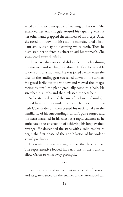acted as if he were incapable of walking on his own. She extended her arm snuggly around his tapering waist as her other hand grappled the firmness of his biceps. After she eased him down in his seat, he manufactured a brilliant smile, displaying gleaming white teeth. Then he dismissed her to fetch a seltzer to aid his stomach. She scampered away dutifully.

The seltzer she concocted did a splendid job calming his stomach and settling him down. In fact, he was able to doze off for a moment. He was jolted awake when the tires on the landing gear screeched down on the tarmac. He gazed lazily out the window and viewed the images racing by until the plane gradually came to a halt. He stretched his limbs and then released the seat belt.

As he stepped out of the aircraft, a burst of sunlight caused him to squint under its glare. He placed his Kenneth Cole shades on, then craned his neck to take in the familiarity of his surroundings. Orion's pulse surged and his heart marched in his chest at a rapid cadence as he anticipated the satisfaction of achieving his long-awaited revenge. He descended the steps with a solid resolve to begin the first phase of the annihilation of his violent sexual predators.

His rental car was waiting out on the dark tarmac. The representative loaded his carry-ons in the trunk to allow Orion to whiz away promptly.

The sun had advanced in its circuit into the late afternoon, and its glare danced on the enamel of the late-model car.

\* \* \*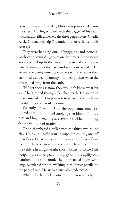Seated in a rental Cadillac, Orion was positioned across the street. His finger toyed with the trigger of his Galil micro assault rifle as he held the three perpetrators, Charlie Rock, Crisco, and Trip Six, under the surveillance of his keen eye.

They were hanging out, lollygagging, and nonchalantly conducting drugs sales on the streets. He observed as cars pulled up to the curve. He watched them alternate, leaning into the car windows to make sales. He viewed the penny-ante dope dealers with disdain as they crammed wadded up money into their pockets when the cars pulled away from the curb.

"If I get their ass now, they wouldn't know what hit 'em," he growled through clenched teeth. He abhorred their camaraderie. His plan was to separate them, claiming their lives one soul at a time.

Patiently, he watched for the opportune time. He waited until they finished smoking a fat blunt. They got nice and high, laughing at everything, oblivious to the danger that lurked nearby.

Orion chambered a bullet from the thirty-five-round clip. He could hardly wait to wipe those silly grins off their faces. He kept his eye on them as his fingers fumbled for the lever to release the door. He stepped out of the vehicle in a lightweight sports jacket to conceal his weapon. He converged on his prey with the agility of a panther. In stealth mode, he approached them with long, calculated strides, walking in the street parallel to the parked cars. He arrived virtually undetected.

When Charlie Rock spotted him, it was already too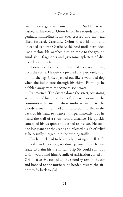late. Orion's gun was aimed at him. Sudden terror flashed in his eyes as Orion let off five rounds into his genitals. Immediately, his eyes crossed and his head tilted forward. Carefully, Orion raised his aim and unloaded lead into Charlie Rock's head until it exploded like a melon. He watched him crumple to the ground amid skull fragments and gruesome splatters of displaced brain matter.

Orion's peripheral vision detected Crisco sprinting from the scene. He quickly pivoted and purposely shot him in the leg. Crisco yelped out like a wounded dog when the bullet tore through his thigh. Painfully, he hobbled away from the scene to seek cover.

Traumatized, Trip Six ran down the street, screaming at the top of his lungs like a frightened woman. The commotion he incited drew undo attention to the bloody scene. Orion had a mind to put a bullet in the back of his head to silence him permanently, but he heard the wail of a siren from a distance. He quickly concealed his weapon and dashed to his car. He took one last glance at the scene and released a sigh of relief as he casually merged into the evening traffic.

Charlie Rock had to be already roasting in hell. He'd put a slug in Crisco's leg as a down payment until he was ready to claim his life in full. Trip Six could run, but Orion would find him. A smile of satisfaction curled on Orion's face. He turned up the sound system in the car and bobbed to the music as he headed toward the airport to fly back to Cali.